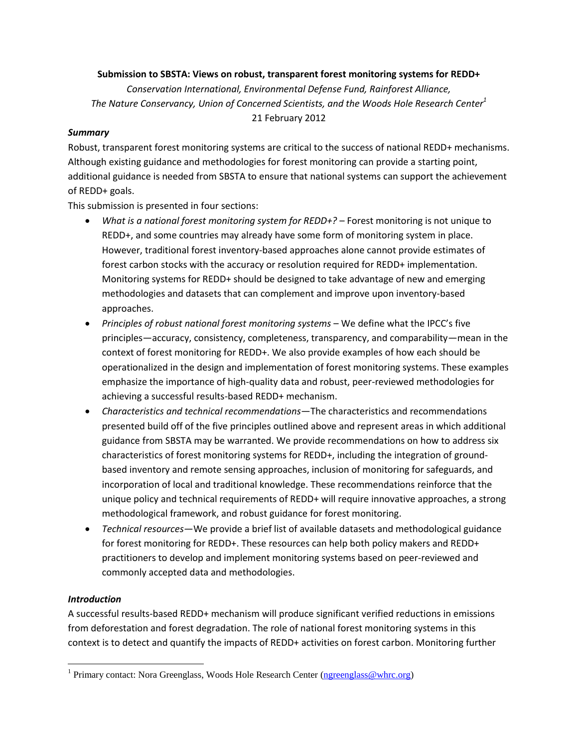### **Submission to SBSTA: Views on robust, transparent forest monitoring systems for REDD+**

*Conservation International, Environmental Defense Fund, Rainforest Alliance, The Nature Conservancy, Union of Concerned Scientists, and the Woods Hole Research Center<sup>1</sup>* 21 February 2012

### *Summary*

Robust, transparent forest monitoring systems are critical to the success of national REDD+ mechanisms. Although existing guidance and methodologies for forest monitoring can provide a starting point, additional guidance is needed from SBSTA to ensure that national systems can support the achievement of REDD+ goals.

This submission is presented in four sections:

- *What is a national forest monitoring system for REDD+?* Forest monitoring is not unique to REDD+, and some countries may already have some form of monitoring system in place. However, traditional forest inventory-based approaches alone cannot provide estimates of forest carbon stocks with the accuracy or resolution required for REDD+ implementation. Monitoring systems for REDD+ should be designed to take advantage of new and emerging methodologies and datasets that can complement and improve upon inventory-based approaches.
- *Principles of robust national forest monitoring systems* We define what the IPCC's five principles—accuracy, consistency, completeness, transparency, and comparability—mean in the context of forest monitoring for REDD+. We also provide examples of how each should be operationalized in the design and implementation of forest monitoring systems. These examples emphasize the importance of high-quality data and robust, peer-reviewed methodologies for achieving a successful results-based REDD+ mechanism.
- *Characteristics and technical recommendations*—The characteristics and recommendations presented build off of the five principles outlined above and represent areas in which additional guidance from SBSTA may be warranted. We provide recommendations on how to address six characteristics of forest monitoring systems for REDD+, including the integration of groundbased inventory and remote sensing approaches, inclusion of monitoring for safeguards, and incorporation of local and traditional knowledge. These recommendations reinforce that the unique policy and technical requirements of REDD+ will require innovative approaches, a strong methodological framework, and robust guidance for forest monitoring.
- *Technical resources*—We provide a brief list of available datasets and methodological guidance for forest monitoring for REDD+. These resources can help both policy makers and REDD+ practitioners to develop and implement monitoring systems based on peer-reviewed and commonly accepted data and methodologies.

## *Introduction*

 $\overline{\phantom{a}}$ 

A successful results-based REDD+ mechanism will produce significant verified reductions in emissions from deforestation and forest degradation. The role of national forest monitoring systems in this context is to detect and quantify the impacts of REDD+ activities on forest carbon. Monitoring further

<sup>&</sup>lt;sup>1</sup> Primary contact: Nora Greenglass, Woods Hole Research Center [\(ngreenglass@whrc.org\)](mailto:ngreenglass@whrc.org)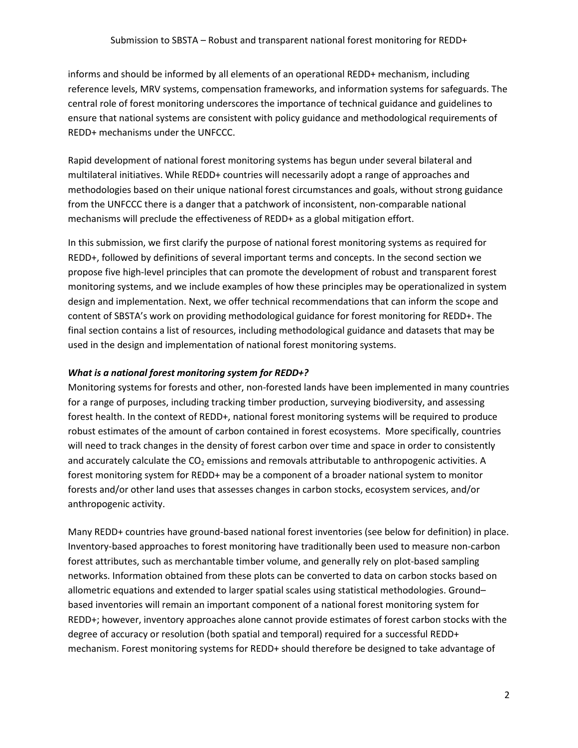informs and should be informed by all elements of an operational REDD+ mechanism, including reference levels, MRV systems, compensation frameworks, and information systems for safeguards. The central role of forest monitoring underscores the importance of technical guidance and guidelines to ensure that national systems are consistent with policy guidance and methodological requirements of REDD+ mechanisms under the UNFCCC.

Rapid development of national forest monitoring systems has begun under several bilateral and multilateral initiatives. While REDD+ countries will necessarily adopt a range of approaches and methodologies based on their unique national forest circumstances and goals, without strong guidance from the UNFCCC there is a danger that a patchwork of inconsistent, non-comparable national mechanisms will preclude the effectiveness of REDD+ as a global mitigation effort.

In this submission, we first clarify the purpose of national forest monitoring systems as required for REDD+, followed by definitions of several important terms and concepts. In the second section we propose five high-level principles that can promote the development of robust and transparent forest monitoring systems, and we include examples of how these principles may be operationalized in system design and implementation. Next, we offer technical recommendations that can inform the scope and content of SBSTA's work on providing methodological guidance for forest monitoring for REDD+. The final section contains a list of resources, including methodological guidance and datasets that may be used in the design and implementation of national forest monitoring systems.

### *What is a national forest monitoring system for REDD+?*

Monitoring systems for forests and other, non-forested lands have been implemented in many countries for a range of purposes, including tracking timber production, surveying biodiversity, and assessing forest health. In the context of REDD+, national forest monitoring systems will be required to produce robust estimates of the amount of carbon contained in forest ecosystems. More specifically, countries will need to track changes in the density of forest carbon over time and space in order to consistently and accurately calculate the  $CO<sub>2</sub>$  emissions and removals attributable to anthropogenic activities. A forest monitoring system for REDD+ may be a component of a broader national system to monitor forests and/or other land uses that assesses changes in carbon stocks, ecosystem services, and/or anthropogenic activity.

Many REDD+ countries have ground-based national forest inventories (see below for definition) in place. Inventory-based approaches to forest monitoring have traditionally been used to measure non-carbon forest attributes, such as merchantable timber volume, and generally rely on plot-based sampling networks. Information obtained from these plots can be converted to data on carbon stocks based on allometric equations and extended to larger spatial scales using statistical methodologies. Ground– based inventories will remain an important component of a national forest monitoring system for REDD+; however, inventory approaches alone cannot provide estimates of forest carbon stocks with the degree of accuracy or resolution (both spatial and temporal) required for a successful REDD+ mechanism. Forest monitoring systems for REDD+ should therefore be designed to take advantage of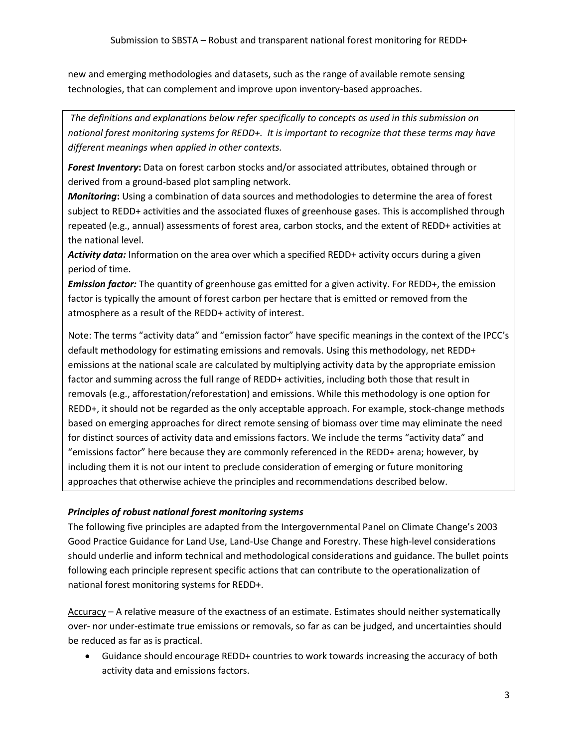new and emerging methodologies and datasets, such as the range of available remote sensing technologies, that can complement and improve upon inventory-based approaches.

*The definitions and explanations below refer specifically to concepts as used in this submission on national forest monitoring systems for REDD+. It is important to recognize that these terms may have different meanings when applied in other contexts.*

*Forest Inventory***:** Data on forest carbon stocks and/or associated attributes, obtained through or derived from a ground-based plot sampling network.

*Monitoring***:** Using a combination of data sources and methodologies to determine the area of forest subject to REDD+ activities and the associated fluxes of greenhouse gases. This is accomplished through repeated (e.g., annual) assessments of forest area, carbon stocks, and the extent of REDD+ activities at the national level.

*Activity data:* Information on the area over which a specified REDD+ activity occurs during a given period of time.

*Emission factor:* The quantity of greenhouse gas emitted for a given activity. For REDD+, the emission factor is typically the amount of forest carbon per hectare that is emitted or removed from the atmosphere as a result of the REDD+ activity of interest.

Note: The terms "activity data" and "emission factor" have specific meanings in the context of the IPCC's default methodology for estimating emissions and removals. Using this methodology, net REDD+ emissions at the national scale are calculated by multiplying activity data by the appropriate emission factor and summing across the full range of REDD+ activities, including both those that result in removals (e.g., afforestation/reforestation) and emissions. While this methodology is one option for REDD+, it should not be regarded as the only acceptable approach. For example, stock-change methods based on emerging approaches for direct remote sensing of biomass over time may eliminate the need for distinct sources of activity data and emissions factors. We include the terms "activity data" and "emissions factor" here because they are commonly referenced in the REDD+ arena; however, by including them it is not our intent to preclude consideration of emerging or future monitoring approaches that otherwise achieve the principles and recommendations described below.

## *Principles of robust national forest monitoring systems*

The following five principles are adapted from the Intergovernmental Panel on Climate Change's 2003 Good Practice Guidance for Land Use, Land-Use Change and Forestry. These high-level considerations should underlie and inform technical and methodological considerations and guidance. The bullet points following each principle represent specific actions that can contribute to the operationalization of national forest monitoring systems for REDD+.

Accuracy – A relative measure of the exactness of an estimate. Estimates should neither systematically over- nor under-estimate true emissions or removals, so far as can be judged, and uncertainties should be reduced as far as is practical.

 Guidance should encourage REDD+ countries to work towards increasing the accuracy of both activity data and emissions factors.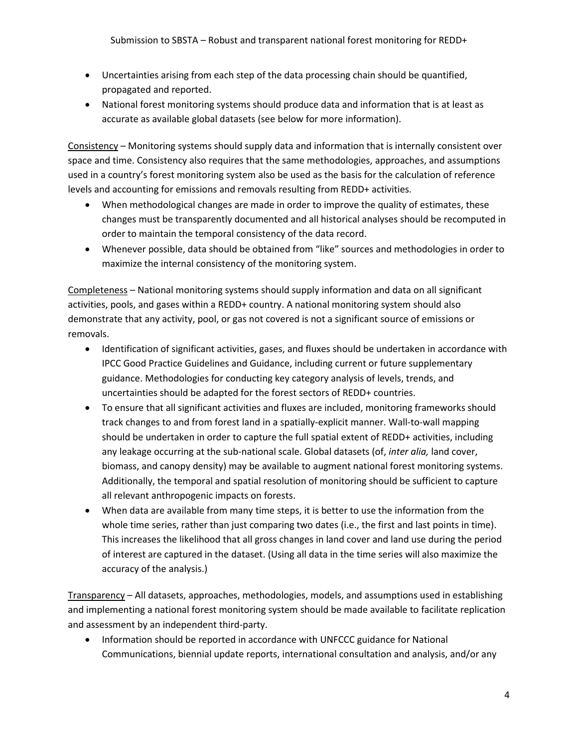- Uncertainties arising from each step of the data processing chain should be quantified, propagated and reported.
- National forest monitoring systems should produce data and information that is at least as accurate as available global datasets (see below for more information).

Consistency – Monitoring systems should supply data and information that is internally consistent over space and time. Consistency also requires that the same methodologies, approaches, and assumptions used in a country's forest monitoring system also be used as the basis for the calculation of reference levels and accounting for emissions and removals resulting from REDD+ activities.

- When methodological changes are made in order to improve the quality of estimates, these changes must be transparently documented and all historical analyses should be recomputed in order to maintain the temporal consistency of the data record.
- Whenever possible, data should be obtained from "like" sources and methodologies in order to maximize the internal consistency of the monitoring system.

Completeness – National monitoring systems should supply information and data on all significant activities, pools, and gases within a REDD+ country. A national monitoring system should also demonstrate that any activity, pool, or gas not covered is not a significant source of emissions or removals.

- Identification of significant activities, gases, and fluxes should be undertaken in accordance with IPCC Good Practice Guidelines and Guidance, including current or future supplementary guidance. Methodologies for conducting key category analysis of levels, trends, and uncertainties should be adapted for the forest sectors of REDD+ countries.
- To ensure that all significant activities and fluxes are included, monitoring frameworks should track changes to and from forest land in a spatially-explicit manner. Wall-to-wall mapping should be undertaken in order to capture the full spatial extent of REDD+ activities, including any leakage occurring at the sub-national scale. Global datasets (of, *inter alia,* land cover, biomass, and canopy density) may be available to augment national forest monitoring systems. Additionally, the temporal and spatial resolution of monitoring should be sufficient to capture all relevant anthropogenic impacts on forests.
- When data are available from many time steps, it is better to use the information from the whole time series, rather than just comparing two dates (i.e., the first and last points in time). This increases the likelihood that all gross changes in land cover and land use during the period of interest are captured in the dataset. (Using all data in the time series will also maximize the accuracy of the analysis.)

Transparency – All datasets, approaches, methodologies, models, and assumptions used in establishing and implementing a national forest monitoring system should be made available to facilitate replication and assessment by an independent third-party.

• Information should be reported in accordance with UNFCCC guidance for National Communications, biennial update reports, international consultation and analysis, and/or any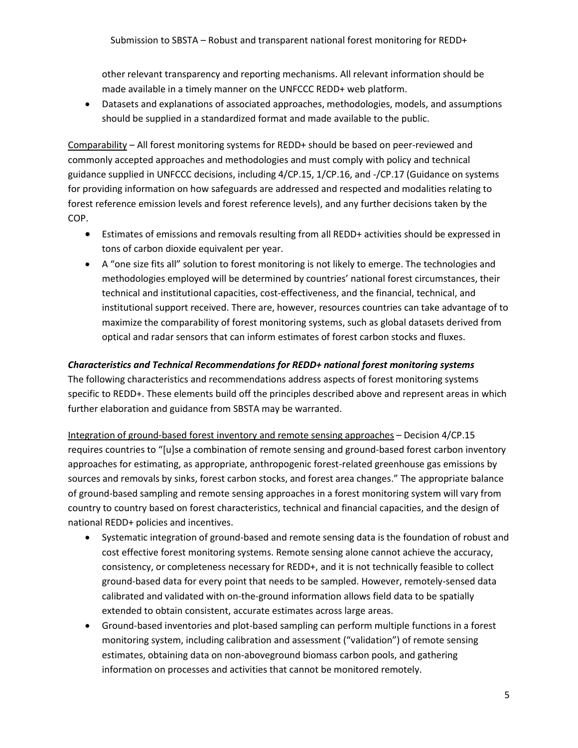other relevant transparency and reporting mechanisms. All relevant information should be made available in a timely manner on the UNFCCC REDD+ web platform.

 Datasets and explanations of associated approaches, methodologies, models, and assumptions should be supplied in a standardized format and made available to the public.

Comparability – All forest monitoring systems for REDD+ should be based on peer-reviewed and commonly accepted approaches and methodologies and must comply with policy and technical guidance supplied in UNFCCC decisions, including 4/CP.15, 1/CP.16, and -/CP.17 (Guidance on systems for providing information on how safeguards are addressed and respected and modalities relating to forest reference emission levels and forest reference levels), and any further decisions taken by the COP.

- Estimates of emissions and removals resulting from all REDD+ activities should be expressed in tons of carbon dioxide equivalent per year.
- A "one size fits all" solution to forest monitoring is not likely to emerge. The technologies and methodologies employed will be determined by countries' national forest circumstances, their technical and institutional capacities, cost-effectiveness, and the financial, technical, and institutional support received. There are, however, resources countries can take advantage of to maximize the comparability of forest monitoring systems, such as global datasets derived from optical and radar sensors that can inform estimates of forest carbon stocks and fluxes.

### *Characteristics and Technical Recommendations for REDD+ national forest monitoring systems*

The following characteristics and recommendations address aspects of forest monitoring systems specific to REDD+. These elements build off the principles described above and represent areas in which further elaboration and guidance from SBSTA may be warranted.

Integration of ground-based forest inventory and remote sensing approaches – Decision 4/CP.15 requires countries to "[u]se a combination of remote sensing and ground-based forest carbon inventory approaches for estimating, as appropriate, anthropogenic forest-related greenhouse gas emissions by sources and removals by sinks, forest carbon stocks, and forest area changes." The appropriate balance of ground-based sampling and remote sensing approaches in a forest monitoring system will vary from country to country based on forest characteristics, technical and financial capacities, and the design of national REDD+ policies and incentives.

- Systematic integration of ground-based and remote sensing data is the foundation of robust and cost effective forest monitoring systems. Remote sensing alone cannot achieve the accuracy, consistency, or completeness necessary for REDD+, and it is not technically feasible to collect ground-based data for every point that needs to be sampled. However, remotely-sensed data calibrated and validated with on-the-ground information allows field data to be spatially extended to obtain consistent, accurate estimates across large areas.
- Ground-based inventories and plot-based sampling can perform multiple functions in a forest monitoring system, including calibration and assessment ("validation") of remote sensing estimates, obtaining data on non-aboveground biomass carbon pools, and gathering information on processes and activities that cannot be monitored remotely.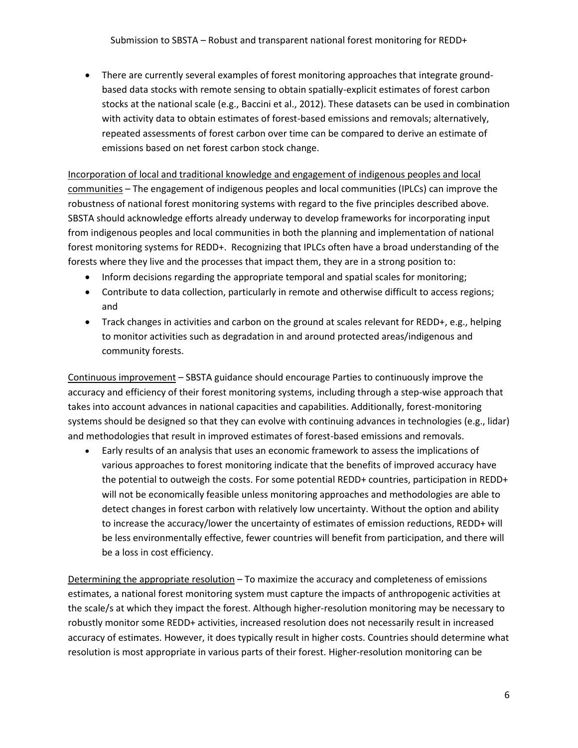There are currently several examples of forest monitoring approaches that integrate groundbased data stocks with remote sensing to obtain spatially-explicit estimates of forest carbon stocks at the national scale (e.g., Baccini et al., 2012). These datasets can be used in combination with activity data to obtain estimates of forest-based emissions and removals; alternatively, repeated assessments of forest carbon over time can be compared to derive an estimate of emissions based on net forest carbon stock change.

Incorporation of local and traditional knowledge and engagement of indigenous peoples and local communities – The engagement of indigenous peoples and local communities (IPLCs) can improve the robustness of national forest monitoring systems with regard to the five principles described above. SBSTA should acknowledge efforts already underway to develop frameworks for incorporating input from indigenous peoples and local communities in both the planning and implementation of national forest monitoring systems for REDD+. Recognizing that IPLCs often have a broad understanding of the forests where they live and the processes that impact them, they are in a strong position to:

- Inform decisions regarding the appropriate temporal and spatial scales for monitoring;
- Contribute to data collection, particularly in remote and otherwise difficult to access regions; and
- Track changes in activities and carbon on the ground at scales relevant for REDD+, e.g., helping to monitor activities such as degradation in and around protected areas/indigenous and community forests.

Continuous improvement – SBSTA guidance should encourage Parties to continuously improve the accuracy and efficiency of their forest monitoring systems, including through a step-wise approach that takes into account advances in national capacities and capabilities. Additionally, forest-monitoring systems should be designed so that they can evolve with continuing advances in technologies (e.g., lidar) and methodologies that result in improved estimates of forest-based emissions and removals.

 Early results of an analysis that uses an economic framework to assess the implications of various approaches to forest monitoring indicate that the benefits of improved accuracy have the potential to outweigh the costs. For some potential REDD+ countries, participation in REDD+ will not be economically feasible unless monitoring approaches and methodologies are able to detect changes in forest carbon with relatively low uncertainty. Without the option and ability to increase the accuracy/lower the uncertainty of estimates of emission reductions, REDD+ will be less environmentally effective, fewer countries will benefit from participation, and there will be a loss in cost efficiency.

Determining the appropriate resolution – To maximize the accuracy and completeness of emissions estimates, a national forest monitoring system must capture the impacts of anthropogenic activities at the scale/s at which they impact the forest. Although higher-resolution monitoring may be necessary to robustly monitor some REDD+ activities, increased resolution does not necessarily result in increased accuracy of estimates. However, it does typically result in higher costs. Countries should determine what resolution is most appropriate in various parts of their forest. Higher-resolution monitoring can be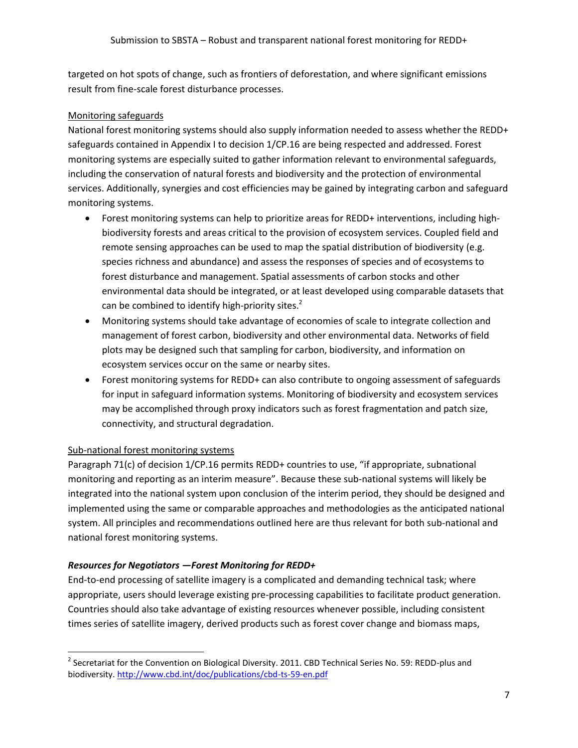targeted on hot spots of change, such as frontiers of deforestation, and where significant emissions result from fine-scale forest disturbance processes.

### Monitoring safeguards

National forest monitoring systems should also supply information needed to assess whether the REDD+ safeguards contained in Appendix I to decision 1/CP.16 are being respected and addressed. Forest monitoring systems are especially suited to gather information relevant to environmental safeguards, including the conservation of natural forests and biodiversity and the protection of environmental services. Additionally, synergies and cost efficiencies may be gained by integrating carbon and safeguard monitoring systems.

- Forest monitoring systems can help to prioritize areas for REDD+ interventions, including highbiodiversity forests and areas critical to the provision of ecosystem services. Coupled field and remote sensing approaches can be used to map the spatial distribution of biodiversity (e.g. species richness and abundance) and assess the responses of species and of ecosystems to forest disturbance and management. Spatial assessments of carbon stocks and other environmental data should be integrated, or at least developed using comparable datasets that can be combined to identify high-priority sites. $2^2$
- Monitoring systems should take advantage of economies of scale to integrate collection and management of forest carbon, biodiversity and other environmental data. Networks of field plots may be designed such that sampling for carbon, biodiversity, and information on ecosystem services occur on the same or nearby sites.
- Forest monitoring systems for REDD+ can also contribute to ongoing assessment of safeguards for input in safeguard information systems. Monitoring of biodiversity and ecosystem services may be accomplished through proxy indicators such as forest fragmentation and patch size, connectivity, and structural degradation.

#### Sub-national forest monitoring systems

l

Paragraph 71(c) of decision 1/CP.16 permits REDD+ countries to use, "if appropriate, subnational monitoring and reporting as an interim measure". Because these sub-national systems will likely be integrated into the national system upon conclusion of the interim period, they should be designed and implemented using the same or comparable approaches and methodologies as the anticipated national system. All principles and recommendations outlined here are thus relevant for both sub-national and national forest monitoring systems.

## *Resources for Negotiators —Forest Monitoring for REDD+*

End-to-end processing of satellite imagery is a complicated and demanding technical task; where appropriate, users should leverage existing pre-processing capabilities to facilitate product generation. Countries should also take advantage of existing resources whenever possible, including consistent times series of satellite imagery, derived products such as forest cover change and biomass maps,

 $^{2}$  Secretariat for the Convention on Biological Diversity. 2011. CBD Technical Series No. 59: REDD-plus and biodiversity.<http://www.cbd.int/doc/publications/cbd-ts-59-en.pdf>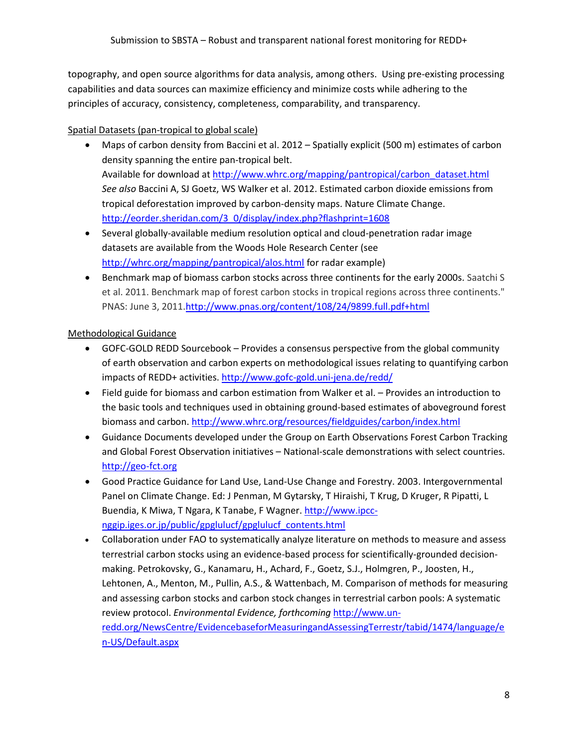topography, and open source algorithms for data analysis, among others. Using pre-existing processing capabilities and data sources can maximize efficiency and minimize costs while adhering to the principles of accuracy, consistency, completeness, comparability, and transparency.

# Spatial Datasets (pan-tropical to global scale)

- Maps of carbon density from Baccini et al. 2012 Spatially explicit (500 m) estimates of carbon density spanning the entire pan-tropical belt. Available for download at [http://www.whrc.org/mapping/pantropical/carbon\\_dataset.html](http://www.whrc.org/mapping/pantropical/carbon_dataset.html) *See also* Baccini A, SJ Goetz, WS Walker et al. 2012. Estimated carbon dioxide emissions from tropical deforestation improved by carbon-density maps. Nature Climate Change. http://eorder.sheridan.com/3\_0/display/index.php?flashprint=1608
- Several globally-available medium resolution optical and cloud-penetration radar image datasets are available from the Woods Hole Research Center (see <http://whrc.org/mapping/pantropical/alos.html> for radar example)
- **Benchmark map of biomass carbon stocks across three continents for the early 2000s.** Saatchi S et al. 2011. Benchmark map of forest carbon stocks in tropical regions across three continents." PNAS: June 3, 2011[.http://www.pnas.org/content/108/24/9899.full.pdf+html](http://www.pnas.org/content/108/24/9899.full.pdf+html)

# Methodological Guidance

- GOFC-GOLD REDD Sourcebook Provides a consensus perspective from the global community of earth observation and carbon experts on methodological issues relating to quantifying carbon impacts of REDD+ activities.<http://www.gofc-gold.uni-jena.de/redd/>
- Field guide for biomass and carbon estimation from Walker et al. Provides an introduction to the basic tools and techniques used in obtaining ground-based estimates of aboveground forest biomass and carbon.<http://www.whrc.org/resources/fieldguides/carbon/index.html>
- Guidance Documents developed under the Group on Earth Observations Forest Carbon Tracking and Global Forest Observation initiatives – National-scale demonstrations with select countries. [http://geo-fct.org](http://geo-fct.org/)
- Good Practice Guidance for Land Use, Land-Use Change and Forestry. 2003. Intergovernmental Panel on Climate Change. Ed: J Penman, M Gytarsky, T Hiraishi, T Krug, D Kruger, R Pipatti, L Buendia, K Miwa, T Ngara, K Tanabe, F Wagner[. http://www.ipcc](http://www.ipcc-nggip.iges.or.jp/public/gpglulucf/gpglulucf_contents.html)[nggip.iges.or.jp/public/gpglulucf/gpglulucf\\_contents.html](http://www.ipcc-nggip.iges.or.jp/public/gpglulucf/gpglulucf_contents.html)
- Collaboration under FAO to systematically analyze literature on methods to measure and assess terrestrial carbon stocks using an evidence-based process for scientifically-grounded decisionmaking. Petrokovsky, G., Kanamaru, H., Achard, F., Goetz, S.J., Holmgren, P., Joosten, H., Lehtonen, A., Menton, M., Pullin, A.S., & Wattenbach, M. Comparison of methods for measuring and assessing carbon stocks and carbon stock changes in terrestrial carbon pools: A systematic review protocol. *Environmental Evidence, forthcoming* [http://www.un](http://www.un-redd.org/NewsCentre/EvidencebaseforMeasuringandAssessingTerrestr/tabid/1474/language/en-US/Default.aspx)[redd.org/NewsCentre/EvidencebaseforMeasuringandAssessingTerrestr/tabid/1474/language/e](http://www.un-redd.org/NewsCentre/EvidencebaseforMeasuringandAssessingTerrestr/tabid/1474/language/en-US/Default.aspx) [n-US/Default.aspx](http://www.un-redd.org/NewsCentre/EvidencebaseforMeasuringandAssessingTerrestr/tabid/1474/language/en-US/Default.aspx)